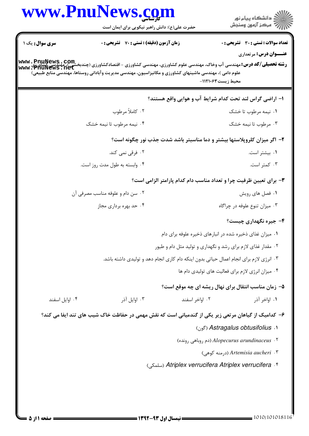|                                  | حضرت علی(ع): دانش راهبر نیکویی برای ایمان است                                                                                                                   |                                                                                         | ر<br>دانشڪاه پيام نور<br>ا∛ مرڪز آزمون وسنڊش   |
|----------------------------------|-----------------------------------------------------------------------------------------------------------------------------------------------------------------|-----------------------------------------------------------------------------------------|------------------------------------------------|
| <b>سری سوال :</b> یک ۱           | زمان آزمون (دقیقه) : تستی : 70 قشریحی : 0                                                                                                                       |                                                                                         | <b>تعداد سوالات : تستي : 30 ٪ تشريحي : 0</b>   |
|                                  |                                                                                                                                                                 |                                                                                         | <b>عنـــوان درس:</b> مرتعداری                  |
|                                  | www . PnuNews . com<br>رشته تحصیلی/کد درس:مهندسی آب وخاک، مهندسی علوم کشاورزی، مهندسی کشاورزی - اقتصادکشاورزی (چندبخشی )، مهندسی کشاورزی<br>www . PhuNews . net |                                                                                         |                                                |
|                                  | علوم دامی )، مهندسی ماشینهای کشاورزی و مکانیزاسیون، مهندسی مدیریت و آبادانی روستاها، مهندسی منابع طبیعی)                                                        | محيط زيست411210-                                                                        |                                                |
|                                  |                                                                                                                                                                 | ا– اراضی گراس لند تحت کدام شرایط آب و هوایی واقع هستند؟                                 |                                                |
|                                  | ۰۲ کاملاً مرطوب                                                                                                                                                 |                                                                                         | ۰۱ نیمه مرطوب تا خشک                           |
|                                  | ۰۴ نیمه مرطوب تا نیمه خشک                                                                                                                                       |                                                                                         | ۰۳ مرطوب تا نیمه خشک                           |
|                                  |                                                                                                                                                                 | ۲- اگر میزان کلروپلاستها بیشتر و دما مناسبتر باشد شدت جذب نور چگونه است؟                |                                                |
|                                  | ۰۲ فرقی نمی کند.                                                                                                                                                |                                                                                         | ۰۱ بیشتر است.                                  |
|                                  | ۰۴ وابسته به طول مدت روز است.                                                                                                                                   |                                                                                         | ۰۳ کمتر است.                                   |
|                                  |                                                                                                                                                                 | ۳- برای تعیین ظرفیت چرا و تعداد مناسب دام کدام پارامتر الزامی است؟                      |                                                |
| ۰۲ سن دام و علوفه مناسب مصرفی آن |                                                                                                                                                                 |                                                                                         | ۰۱ فصل های رویش                                |
| ۰۴ حد بهره برداری مجاز           |                                                                                                                                                                 |                                                                                         | ۰۳ میزان تنوع علوفه در چراگاه                  |
|                                  |                                                                                                                                                                 |                                                                                         | ۴- جیره نگهداری چیست؟                          |
|                                  |                                                                                                                                                                 | ۰۱ میزان غذای ذخیره شده در انبارهای ذخیره علوفه برای دام                                |                                                |
|                                  |                                                                                                                                                                 | ۰۲ مقدار غذای لازم برای رشد و نگهداری و تولید مثل دام و طیور                            |                                                |
|                                  |                                                                                                                                                                 | ۰۳ انرژی لازم برای انجام اعمال حیاتی بدون اینکه دام کاری انجام دهد و تولیدی داشته باشد. |                                                |
|                                  |                                                                                                                                                                 | ۰۴ میزان انرژی لازم برای فعالیت های تولیدی دام ها                                       |                                                |
|                                  |                                                                                                                                                                 | ۵- زمان مناسب انتقال برای نهال ریشه ای چه موقع است؟                                     |                                                |
| ۰۴ اوایل اسفند                   | ۰۳ اوايل آذر                                                                                                                                                    | ۰۲ اواخر اسفند                                                                          | ۰۱ اواخر آذر                                   |
|                                  | ۶– کدامیک از گیاهان مرتعی زیر یکی از گندمیانی است که نقش مهمی در حفاظت خاک شیب های تند ایفا می کند؟                                                             |                                                                                         |                                                |
|                                  |                                                                                                                                                                 |                                                                                         | ( آ <sub>َون</sub> ) Astragalus obtusifolius ۱ |
|                                  |                                                                                                                                                                 | (دم روباهی رونده) Alopecurus arundinaceus . ۲                                           |                                                |
|                                  |                                                                                                                                                                 |                                                                                         | ۲. Artemisia aucheri (درمنه کوهی)              |
|                                  |                                                                                                                                                                 | Atriplex verrucifera Atriplex verrucifera . ۴ (سلمكى)                                   |                                                |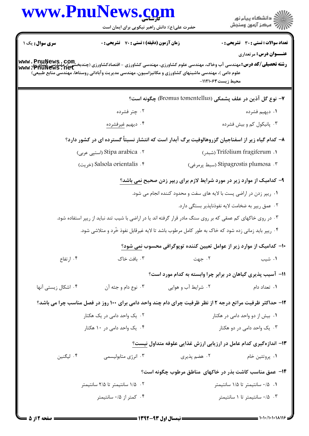|                        | www.PnuNews.com<br>حضرت علی(ع): دانش راهبر نیکویی برای ایمان است                                                                                                                                                                                           |                                                                               | ڪ دانشڪاه پيا <sub>م</sub> نور<br>۾ سرڪز آزمون وسنجش |
|------------------------|------------------------------------------------------------------------------------------------------------------------------------------------------------------------------------------------------------------------------------------------------------|-------------------------------------------------------------------------------|------------------------------------------------------|
| <b>سری سوال :</b> یک ۱ | <b>زمان آزمون (دقیقه) : تستی : 70 ٪ تشریحی : 0</b>                                                                                                                                                                                                         |                                                                               | <b>تعداد سوالات : تستی : 30 ٪ تشریحی : 0</b>         |
|                        | <b>رشته تحصیلی/کد درس:</b> مهندسی آب وخاک، مهندسی علوم کشاورزی، مهندسی کشاورزی - اقتصادکشاورزی (چندبخشی)،مهندسی آب وخاک،<br>www • PhuNews • net<br>علوم دامی )، مهندسی ماشینهای کشاورزی و مکانیزاسیون، مهندسی مدیریت وآبادانی روستاها، مهندسی منابع طبیعی) | محيط زيست۳۱۰۶۳-                                                               | <b>عنـــوان درس:</b> مرتعداری                        |
|                        |                                                                                                                                                                                                                                                            | ۷– نوع گل آذین در علف پشمکی (Bromus tomentellus) چگونه است؟                   |                                                      |
|                        | ۰۲ چتر فشرده                                                                                                                                                                                                                                               |                                                                               | ۰۱ دیهیم فشرده                                       |
|                        | ۰۴ ديهيم <u>غيرفشرده</u>                                                                                                                                                                                                                                   |                                                                               | ۰۳ پانیکول کم و بیش فشرده                            |
|                        | ۸– کدام گیاه زیر از اسفناجیان گزروهالوفیت برگ آبدار است که انتشار نسبتاً گسترده ای در کشور دارد؟                                                                                                                                                           |                                                                               |                                                      |
|                        | Stipa arabica  .۲ (استپی عربی)                                                                                                                                                                                                                             |                                                                               | 1. Trifolium fragiferum (شبدر)                       |
|                        | Salsola orientalis . ۴ (خريت)                                                                                                                                                                                                                              |                                                                               | ۴. Stipagrostis plumosa (سبط پرمرغی)                 |
|                        |                                                                                                                                                                                                                                                            | ۹- کدامیک از موارد زیر در مورد شرایط لازم برای ریپر زدن صحیح <u>نمی باشد؟</u> |                                                      |
|                        |                                                                                                                                                                                                                                                            | ۰۱ ریپر زدن در اراضی پست با لایه های سفت و محدود کننده انجام می شود.          |                                                      |
|                        |                                                                                                                                                                                                                                                            | ۰۲ عمق ریپر به ضخامت لایه نفوذناپذیر بستگی دارد.                              |                                                      |
|                        | ۰۳ در روی خاکهای کم عمقی که بر روی سنگ مادر قرار گرفته اند یا در اراضی با شیب تند نباید از ریپر استفاده شود.                                                                                                                                               |                                                                               |                                                      |
|                        | ۰۴ ریپر باید زمانی زده شود که خاک به طور کامل مرطوب باشد تا لایه غیرقابل نفوذ خُرد و متلاشی شود.                                                                                                                                                           |                                                                               |                                                      |
|                        |                                                                                                                                                                                                                                                            | ∙۱− کدامیک از موارد زیر از عوامل تعیین کننده توپوگرافی محسوب نمی شود؟         |                                                      |
| ۰۴ ارتفاع              | ۰۳ بافت خاک                                                                                                                                                                                                                                                | ۰۲ جهت                                                                        | ۰۱ شیب                                               |
|                        |                                                                                                                                                                                                                                                            | 1۱- آسیب پذیری گیاهان در برابر چرا وابسته به کدام مورد است؟                   |                                                      |
| ۰۴ اشکال زیستی آنها    | ۰۳ نوع دام و جثه آن                                                                                                                                                                                                                                        | ۰۲ شرایط آب و هوایی                                                           | ۰۱ تعداد دام                                         |
|                        | ۱۲- حداکثر ظرفیت مراتع درجه ۲ از نظر ظرفیت چرای دام چند واحد دامی برای ۱۰۰ روز در فصل مناسب چرا می باشد؟                                                                                                                                                   |                                                                               |                                                      |
|                        | ۰۲ یک واحد دامی در یک هکتار                                                                                                                                                                                                                                |                                                                               | ۰۱ بیش از دو واحد دامی در هکتار                      |
|                        | ۰۴ یک واحد دامی در ۱۰ هکتار                                                                                                                                                                                                                                |                                                                               | ۰۳ یک واحد دامی در دو هکتار                          |
|                        |                                                                                                                                                                                                                                                            | ۱۳– اندازهگیری کدام عامل در ارزیابی ارزش غذایی علوفه متداول نیست؟             |                                                      |
| ۰۴ لیگنین              | ۰۳ انرژی متابولیسمی                                                                                                                                                                                                                                        | ۰۲ هضم پذیری                                                                  | ۰۱ پروتئين خام                                       |
|                        |                                                                                                                                                                                                                                                            | ۱۴– عمق مناسب کاشت بذر در خاکهای مناطق مرطوب چگونه است؟                       |                                                      |
|                        | ۰۲ ۱/۵ سانتیمتر تا ۲/۵ سانتیمتر                                                                                                                                                                                                                            |                                                                               | ۰/۵ ۰/۱ سانتیمتر تا ۱/۵ سانتیمتر                     |
|                        | ۰۴ کمتر از ۰/۵ سانتیمتر                                                                                                                                                                                                                                    |                                                                               | ۰/۵ ۰۳ سانتیمتر تا ۱ سانتیمتر                        |

 $\blacksquare$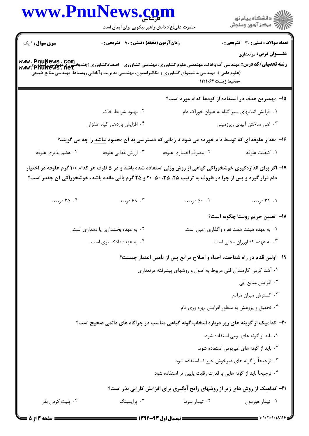| www.PnuNews.com                                                                                                                                                           | حضرت علی(ع): دانش راهبر نیکویی برای ایمان است |                                                                                                            | ر دانشگاه پيام نور<br>ا∛هرکز آزمون وسنجش                                                                        |
|---------------------------------------------------------------------------------------------------------------------------------------------------------------------------|-----------------------------------------------|------------------------------------------------------------------------------------------------------------|-----------------------------------------------------------------------------------------------------------------|
| <b>سری سوال : ۱ یک</b><br><b>رشته تحصیلی/کد درس:</b> مهندسی آب وخاک، مهندسی علوم کشاورزی، مهندسی کشاورزی - اقتصادکشاورزی (چندبخشی)، مهندسی کشاورزی<br>www • PhuNews • net | زمان آزمون (دقیقه) : تستی : 70 ٪ تشریحی : 0   |                                                                                                            | <b>تعداد سوالات : تستی : 30 ٪ تشریحی : 0</b><br><b>عنـــوان درس:</b> مرتعداری                                   |
|                                                                                                                                                                           |                                               | (علوم دامی )، مهندسی ماشینهای کشاورزی و مکانیزاسیون، مهندسی مدیریت وآبادانی روستاها، مهندسی منابع طبیعی    | -محيط زيست۳۱۰۶۳                                                                                                 |
|                                                                                                                                                                           |                                               |                                                                                                            | ۱۵– مهمترین هدف در استفاده از کودها کدام مورد است؟                                                              |
|                                                                                                                                                                           | ۰۲ بهبود شرایط خاک                            |                                                                                                            | ۰۱ افزایش اندامهای سبز گیاه به عنوان خوراک دام                                                                  |
|                                                                                                                                                                           | ۰۴ افزایش باردهی گیاه علفزار                  |                                                                                                            | ۰۳ غنی ساختن آبهای زیرزمینی                                                                                     |
|                                                                                                                                                                           |                                               |                                                                                                            | ۱۶- مقدار علوفه ای که توسط دام خورده می شود تا زمانی که دسترسی به آن محدود <u>نباشد</u> را چه می گویند؟         |
| ۰۴ هضم پذیری علوفه                                                                                                                                                        | ۰۳ ارزش غذایی علوفه                           | ۰۲ مصرف اختیاری علوفه                                                                                      | ٠١ كيفيت علوفه                                                                                                  |
|                                                                                                                                                                           |                                               | دام قرار گیرد و پس از چرا در ظروف به ترتیب ۲۵، ۳۵، ۳۵، ۲۰ و ۲۵ گرم باقی مانده باشد، خوشخوراکی آن چقدر است؟ | ۱۷– اگر برای اندازهگیری خوشخوراکی گیاهی از روش وزنی استفاده شده باشد و در ۵ ظرف هر کدام ۱۰۰ گرم علوفه در اختیار |
| ۰۴ درصد                                                                                                                                                                   | ۰۳ درصد                                       | ۰۲ درصد                                                                                                    | ۰۱ ۲۱ درصد                                                                                                      |
|                                                                                                                                                                           |                                               |                                                                                                            | <b>۱۸</b> –  تعیین حریم روستا چگونه است؟                                                                        |
|                                                                                                                                                                           | ۰۲ به عهده بخشداری یا دهداری است.             |                                                                                                            | ۰۱ به عهده هیئت هفت نفره واگذاری زمین است.                                                                      |
|                                                                                                                                                                           | ۰۴ به عهده دادگستری است.                      |                                                                                                            | ۰۳ به عهده کشاورزان محلی است.                                                                                   |
|                                                                                                                                                                           |                                               |                                                                                                            | ۱۹- اولین قدم در راه شناخت، احیاء و اصلاح مراتع پس از تأمین اعتبار چیست؟                                        |
|                                                                                                                                                                           |                                               | ۰۱ آشنا کردن کارمندان فنی مربوط به اصول و روشهای پیشرفته مرتعداری                                          |                                                                                                                 |
|                                                                                                                                                                           |                                               |                                                                                                            | ٠٢ افزايش منابع آبي                                                                                             |
|                                                                                                                                                                           |                                               |                                                                                                            | ۰۳ گسترش میزان مراتع                                                                                            |
|                                                                                                                                                                           |                                               |                                                                                                            | ۰۴ تحقیق و پژوهش به منظور افزایش بهره وری دام                                                                   |
|                                                                                                                                                                           |                                               |                                                                                                            | <b>۲۰</b> - کدامیک از گزینه های زیر درباره انتخاب گونه گیاهی مناسب در چراگاه های دائمی صحیح است؟                |
|                                                                                                                                                                           |                                               |                                                                                                            | ۰۱ باید از گونه های بومی استفاده شود.                                                                           |
|                                                                                                                                                                           |                                               |                                                                                                            | ٢. بايد از گونه هاى غيربومى استفاده شود.                                                                        |
|                                                                                                                                                                           |                                               |                                                                                                            | ۰۳ ترجیحاً از گونه های غیرخوش خوراک استفاده شود.                                                                |
|                                                                                                                                                                           |                                               | ۰۴ ترجیحاً باید از گونه هایی با قدرت رقابت پایین تر استفاده شود.                                           |                                                                                                                 |
|                                                                                                                                                                           |                                               |                                                                                                            | <b>۲۱</b> - کدامیک از روش های زیر از روشهای رایج آبگیری برای افزایش کارایی بذر است؟                             |
| ۰۴ پلیت کردن بذر                                                                                                                                                          | ۰۳ پرايمينگ                                   | ۰۲ تیمار سرما                                                                                              | ۰۱ تیمار هورمون                                                                                                 |
| صفحه 3 از 5                                                                                                                                                               |                                               | ــــــــــ نیمسال اول ۹۳-۱۳۹۲ ــــ                                                                         |                                                                                                                 |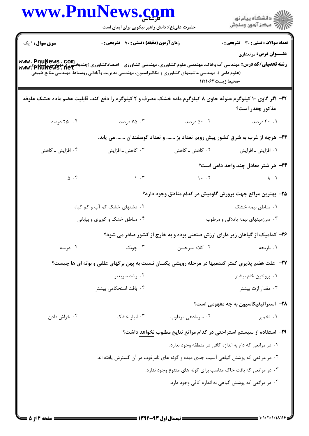|                                                                                                                                                                            | www.PnuNews.com<br>حضرت علی(ع): دانش راهبر نیکویی برای ایمان است                                                                                     |                                                                                    | ڪ دانشڪاه پيا <sub>م</sub> نور<br>پ <sup>ر</sup> مرڪز آزمون وسنڊش             |
|----------------------------------------------------------------------------------------------------------------------------------------------------------------------------|------------------------------------------------------------------------------------------------------------------------------------------------------|------------------------------------------------------------------------------------|-------------------------------------------------------------------------------|
| <b>سری سوال : ۱ یک</b><br><b>رشته تحصیلی/کد درس:</b> مهندسی آب وخاک، مهندسی علوم کشاورزی، مهندسی کشاورزی - اقتصادکشاورزی (چندبخشی )، مهندسی کشاورزی<br>www • PhuNews • net | زمان آزمون (دقیقه) : تستی : 70 گشریحی : 0<br>(علوم دامی )، مهندسی ماشینهای کشاورزی و مکانیزاسیون، مهندسی مدیریت وآبادانی روستاها، مهندسی منابع طبیعی | -محيط زيست411116                                                                   | <b>تعداد سوالات : تستی : 30 ٪ تشریحی : 0</b><br><b>عنـــوان درس:</b> مرتعداری |
|                                                                                                                                                                            | ۲۲- اگر گاوی ۱۰ کیلوگرم علوفه حاوی ۸ کیلوگرم ماده خشک مصرف و ۲ کیلوگرم را دفع کند، قابلیت هضم ماده خشک علوفه                                         |                                                                                    | مذکور چقدر است؟                                                               |
| ۰۴ درصد                                                                                                                                                                    | ۰۳ درصد                                                                                                                                              | ۵۰ . ۲ درصد                                                                        | ۰۱ ۴۰ درصد                                                                    |
|                                                                                                                                                                            |                                                                                                                                                      | ۲۳– هرچه از غرب به شرق کشور پیش رویم تعداد بز  و تعداد گوسفندان  می یابد.          |                                                                               |
| ۰۴ افزایش ــ کاهش                                                                                                                                                          | ۰۳ کاهش ـ افزايش                                                                                                                                     | ۲. کاهش ــ کاهش                                                                    | ۰۱ افزایش ـ افزایش                                                            |
|                                                                                                                                                                            |                                                                                                                                                      |                                                                                    | ۲۴- هر شتر معادل چند واحد دامی است؟                                           |
| $\Delta$ . F                                                                                                                                                               | $\mathcal{N}$ . T                                                                                                                                    | $\mathcal{N}$ . The same state $\mathcal{N}$                                       | $\lambda$ . 1                                                                 |
|                                                                                                                                                                            |                                                                                                                                                      | ۲۵– بهترین مراتع جهت پرورش گاومیش در کدام مناطق وجود دارد؟                         |                                                                               |
|                                                                                                                                                                            | ۰۲ دشتهای خشک کم آب و کم گیاه                                                                                                                        |                                                                                    | ۰۱ مناطق نیمه خشک                                                             |
|                                                                                                                                                                            | ۰۴ مناطق خشک و کویری و بیابانی                                                                                                                       |                                                                                    | ۰۳ سرزمینهای نیمه باتلاقی و مرطوب                                             |
|                                                                                                                                                                            |                                                                                                                                                      | ۲۶- کدامیک از گیاهان زیر دارای ارزش صنعتی بوده و به خارج از کشور صادر می شود؟      |                                                                               |
| ۰۴ درمنه                                                                                                                                                                   | ۰۳ چوبک                                                                                                                                              | ۰۲ کلاه میرحسن                                                                     | ٠١. باريجه                                                                    |
|                                                                                                                                                                            | <b>۲۷</b> - علت هضم پذیری کمتر گندمیها در مرحله رویشی یکسان نسبت به پهن برگهای علفی و بوته ای ها چیست؟                                               |                                                                                    |                                                                               |
|                                                                                                                                                                            | ۰۲ رشد سریعتر                                                                                                                                        |                                                                                    | ۰۱ پروتئین خام بیشتر                                                          |
|                                                                                                                                                                            | ۰۴ بافت استحکامی بیشتر                                                                                                                               |                                                                                    | ۰۳ مقدار ازت بیشتر                                                            |
|                                                                                                                                                                            |                                                                                                                                                      |                                                                                    | ۲۸– استراتیفیکاسیون به چه مفهومی است؟                                         |
| ۰۴ خراش دادن                                                                                                                                                               | ۰۳ انبار خشک                                                                                                                                         | ۰۲ سرمادهی مرطوب                                                                   | ۰۱ تخمیر                                                                      |
|                                                                                                                                                                            |                                                                                                                                                      | <b>۲۹</b> – استفاده از سیستم استراحتی در کدام مراتع نتایج مطلوب نخواهد داشت؟       |                                                                               |
|                                                                                                                                                                            |                                                                                                                                                      | ۰۱ در مراتعی که دام به اندازه کافی در منطقه وجود ندارد.                            |                                                                               |
|                                                                                                                                                                            |                                                                                                                                                      | ۲. در مراتعی که پوشش گیاهی آسیب جدی دیده و گونه های نامرغوب در آن گسترش یافته اند. |                                                                               |
|                                                                                                                                                                            |                                                                                                                                                      | ۰۳ در مراتعی که بافت خاک مناسب برای گونه های متنوع وجود ندارد.                     |                                                                               |
|                                                                                                                                                                            |                                                                                                                                                      | ۰۴ در مراتعی که پوشش گیاهی به اندازه کافی وجود دارد.                               |                                                                               |
|                                                                                                                                                                            |                                                                                                                                                      |                                                                                    |                                                                               |

 $= 1.1 - (1.1.1115$